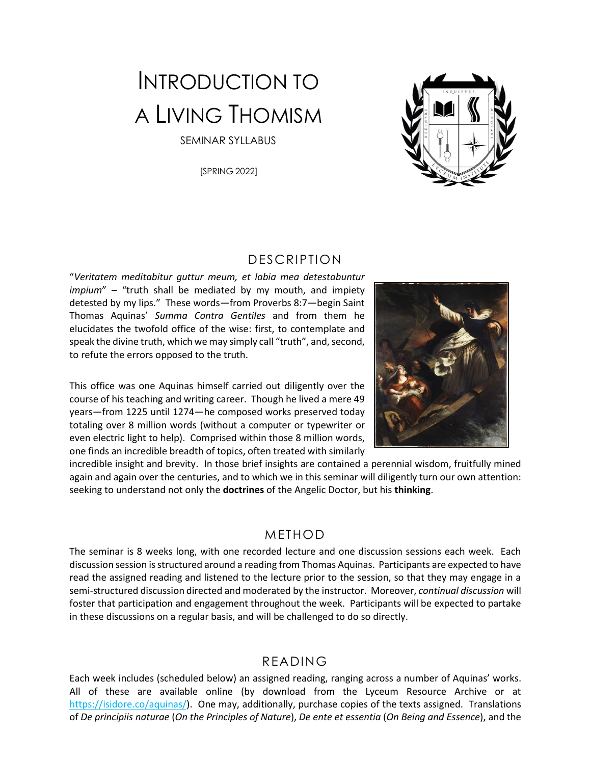# INTRODUCTION TO A LIVING THOMISM

SEMINAR SYLLABUS

[SPRING 2022]



#### DESCRIPTION

"*Veritatem meditabitur guttur meum, et labia mea detestabuntur impium*" – "truth shall be mediated by my mouth, and impiety detested by my lips." These words—from Proverbs 8:7—begin Saint Thomas Aquinas' *Summa Contra Gentiles* and from them he elucidates the twofold office of the wise: first, to contemplate and speak the divine truth, which we may simply call "truth", and, second, to refute the errors opposed to the truth.

This office was one Aquinas himself carried out diligently over the course of his teaching and writing career. Though he lived a mere 49 years—from 1225 until 1274—he composed works preserved today totaling over 8 million words (without a computer or typewriter or even electric light to help). Comprised within those 8 million words, one finds an incredible breadth of topics, often treated with similarly



incredible insight and brevity. In those brief insights are contained a perennial wisdom, fruitfully mined again and again over the centuries, and to which we in this seminar will diligently turn our own attention: seeking to understand not only the **doctrines** of the Angelic Doctor, but his **thinking**.

#### METHOD

The seminar is 8 weeks long, with one recorded lecture and one discussion sessions each week. Each discussion session is structured around a reading from Thomas Aquinas. Participants are expected to have read the assigned reading and listened to the lecture prior to the session, so that they may engage in a semi-structured discussion directed and moderated by the instructor. Moreover, *continual discussion* will foster that participation and engagement throughout the week. Participants will be expected to partake in these discussions on a regular basis, and will be challenged to do so directly.

#### READING

Each week includes (scheduled below) an assigned reading, ranging across a number of Aquinas' works. All of these are available online (by download from the Lyceum Resource Archive or at [https://isidore.co/aquinas/\)](https://isidore.co/aquinas/). One may, additionally, purchase copies of the texts assigned. Translations of *De principiis naturae* (*On the Principles of Nature*), *De ente et essentia* (*On Being and Essence*), and the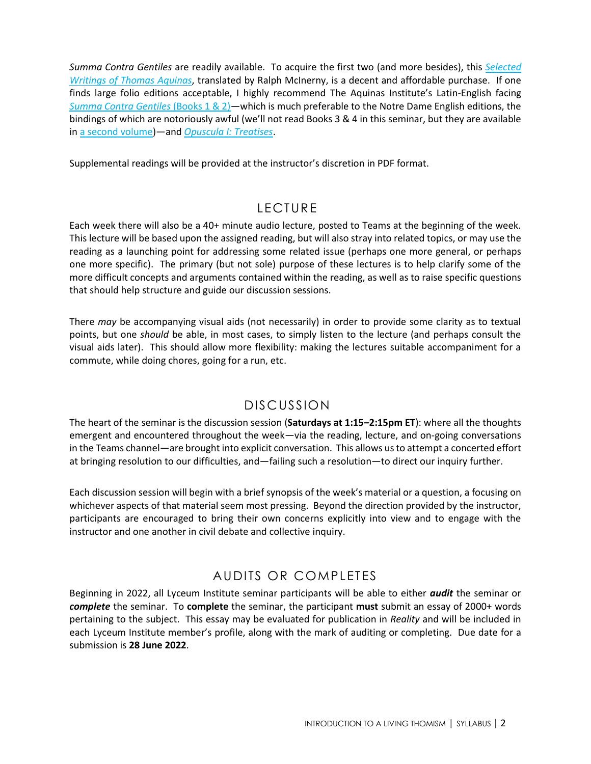*Summa Contra Gentiles* are readily available. To acquire the first two (and more besides), this *[Selected](https://www.amazon.com/Thomas-Aquinas-Selected-Writings-Classics/dp/0140436324)  [Writings of Thomas Aquinas](https://www.amazon.com/Thomas-Aquinas-Selected-Writings-Classics/dp/0140436324)*, translated by Ralph McInerny, is a decent and affordable purchase. If one finds large folio editions acceptable, I highly recommend The Aquinas Institute's Latin-English facing *[Summa Contra Gentiles](https://www.amazon.com/Summa-Contra-Gentiles-Books-Latin-English/dp/1623400589/)* (Books 1 & 2)—which is much preferable to the Notre Dame English editions, the bindings of which are notoriously awful (we'll not read Books 3 & 4 in this seminar, but they are available in [a second volume\)](https://www.amazon.com/Summa-Contra-Gentiles-Books-Latin-English/dp/1623400597/)—and *[Opuscula I: Treatises](https://www.amazon.com/Opuscula-I-Latin-English-Opera-Omnia/dp/1623400554/)*.

Supplemental readings will be provided at the instructor's discretion in PDF format.

### LECTURE

Each week there will also be a 40+ minute audio lecture, posted to Teams at the beginning of the week. This lecture will be based upon the assigned reading, but will also stray into related topics, or may use the reading as a launching point for addressing some related issue (perhaps one more general, or perhaps one more specific). The primary (but not sole) purpose of these lectures is to help clarify some of the more difficult concepts and arguments contained within the reading, as well as to raise specific questions that should help structure and guide our discussion sessions.

There *may* be accompanying visual aids (not necessarily) in order to provide some clarity as to textual points, but one *should* be able, in most cases, to simply listen to the lecture (and perhaps consult the visual aids later). This should allow more flexibility: making the lectures suitable accompaniment for a commute, while doing chores, going for a run, etc.

#### DISCUSSION

The heart of the seminar is the discussion session (**Saturdays at 1:15–2:15pm ET**): where all the thoughts emergent and encountered throughout the week—via the reading, lecture, and on-going conversations in the Teams channel—are brought into explicit conversation. This allows us to attempt a concerted effort at bringing resolution to our difficulties, and—failing such a resolution—to direct our inquiry further.

Each discussion session will begin with a brief synopsis of the week's material or a question, a focusing on whichever aspects of that material seem most pressing. Beyond the direction provided by the instructor, participants are encouraged to bring their own concerns explicitly into view and to engage with the instructor and one another in civil debate and collective inquiry.

# AUDITS OR COMPLETES

Beginning in 2022, all Lyceum Institute seminar participants will be able to either *audit* the seminar or *complete* the seminar. To **complete** the seminar, the participant **must** submit an essay of 2000+ words pertaining to the subject. This essay may be evaluated for publication in *Reality* and will be included in each Lyceum Institute member's profile, along with the mark of auditing or completing. Due date for a submission is **28 June 2022**.